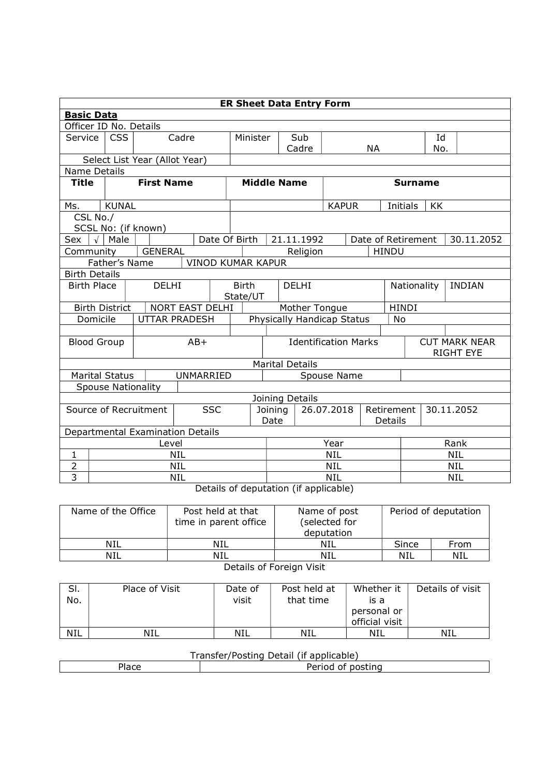| <b>ER Sheet Data Entry Form</b>     |                                                             |                               |                                                  |                            |                               |                                |  |              |                          |                                          |            |            |  |
|-------------------------------------|-------------------------------------------------------------|-------------------------------|--------------------------------------------------|----------------------------|-------------------------------|--------------------------------|--|--------------|--------------------------|------------------------------------------|------------|------------|--|
| <b>Basic Data</b>                   |                                                             |                               |                                                  |                            |                               |                                |  |              |                          |                                          |            |            |  |
| Officer ID No. Details              |                                                             |                               |                                                  |                            |                               |                                |  |              |                          |                                          |            |            |  |
| Service                             | <b>CSS</b>                                                  | Cadre                         |                                                  |                            | Sub<br>Minister               |                                |  |              |                          |                                          | Id         |            |  |
|                                     |                                                             |                               |                                                  |                            |                               | Cadre                          |  |              | <b>NA</b>                |                                          | No.        |            |  |
|                                     |                                                             | Select List Year (Allot Year) |                                                  |                            |                               |                                |  |              |                          |                                          |            |            |  |
|                                     | <b>Name Details</b><br><b>Middle Name</b><br><b>Surname</b> |                               |                                                  |                            |                               |                                |  |              |                          |                                          |            |            |  |
| <b>Title</b>                        |                                                             | <b>First Name</b>             |                                                  |                            |                               |                                |  |              |                          |                                          |            |            |  |
| Ms.                                 | <b>KUNAL</b>                                                |                               |                                                  |                            |                               |                                |  | <b>KAPUR</b> |                          | Initials                                 | KK         |            |  |
| CSL No./                            |                                                             |                               |                                                  |                            |                               |                                |  |              |                          |                                          |            |            |  |
|                                     |                                                             | SCSL No: (if known)           |                                                  |                            |                               |                                |  |              |                          |                                          |            |            |  |
| Sex                                 | $\sqrt{\phantom{a}}$ Male                                   |                               | Date Of Birth                                    |                            |                               | 21.11.1992                     |  |              | Date of Retirement       |                                          |            | 30.11.2052 |  |
| Community                           |                                                             | <b>GENERAL</b>                |                                                  |                            |                               | Religion                       |  |              | <b>HINDU</b>             |                                          |            |            |  |
|                                     | Father's Name<br><b>VINOD KUMAR KAPUR</b>                   |                               |                                                  |                            |                               |                                |  |              |                          |                                          |            |            |  |
| <b>Birth Details</b>                |                                                             |                               |                                                  |                            |                               |                                |  |              |                          |                                          |            |            |  |
|                                     | <b>Birth Place</b><br><b>DELHI</b>                          |                               |                                                  | <b>Birth</b>               | <b>DELHI</b><br>State/UT      |                                |  |              |                          | Nationality<br><b>INDIAN</b>             |            |            |  |
|                                     | <b>Birth District</b>                                       |                               | NORT EAST DELHI                                  |                            | Mother Tongue<br><b>HINDI</b> |                                |  |              |                          |                                          |            |            |  |
| Domicile                            |                                                             |                               | <b>UTTAR PRADESH</b>                             | Physically Handicap Status |                               |                                |  |              |                          | No                                       |            |            |  |
|                                     |                                                             |                               |                                                  |                            |                               |                                |  |              |                          |                                          |            |            |  |
| <b>Blood Group</b>                  |                                                             |                               | $AB+$                                            |                            | <b>Identification Marks</b>   |                                |  |              |                          | <b>CUT MARK NEAR</b><br><b>RIGHT EYE</b> |            |            |  |
|                                     |                                                             |                               |                                                  |                            |                               | <b>Marital Details</b>         |  |              |                          |                                          |            |            |  |
|                                     | <b>Marital Status</b>                                       |                               | UNMARRIED                                        |                            | Spouse Name                   |                                |  |              |                          |                                          |            |            |  |
|                                     | <b>Spouse Nationality</b>                                   |                               |                                                  |                            |                               |                                |  |              |                          |                                          |            |            |  |
|                                     |                                                             |                               |                                                  |                            |                               | Joining Details                |  |              |                          |                                          |            |            |  |
| <b>SSC</b><br>Source of Recruitment |                                                             |                               |                                                  |                            | 26.07.2018<br>Joining<br>Date |                                |  | Details      | Retirement<br>30.11.2052 |                                          |            |            |  |
|                                     | Departmental Examination Details                            |                               |                                                  |                            |                               |                                |  |              |                          |                                          |            |            |  |
|                                     | Level                                                       |                               |                                                  |                            |                               | Year                           |  |              |                          | Rank                                     |            |            |  |
| $\mathbf 1$                         |                                                             |                               | <b>NIL</b>                                       |                            |                               | <b>NIL</b>                     |  |              |                          | <b>NIL</b>                               |            |            |  |
| $\overline{2}$                      |                                                             |                               | <b>NIL</b>                                       |                            |                               | <b>NIL</b>                     |  |              |                          |                                          | <b>NIL</b> |            |  |
| 3                                   |                                                             |                               | <b>NIL</b><br>$\sim$ $\sim$ $\sim$ $\sim$ $\sim$ |                            |                               | <b>NIL</b><br>NIL<br>$\cdot$ . |  |              |                          |                                          |            |            |  |

Details of deputation (if applicable)

| Name of the Office | Post held at that<br>time in parent office | Name of post<br>(selected for<br>deputation | Period of deputation |      |  |  |  |  |  |
|--------------------|--------------------------------------------|---------------------------------------------|----------------------|------|--|--|--|--|--|
| NIL                | NIL                                        | NIL                                         | Since                | From |  |  |  |  |  |
| NIL                | <b>NIL</b>                                 | NIL                                         | NIL                  | NIL  |  |  |  |  |  |
|                    |                                            |                                             |                      |      |  |  |  |  |  |

Details of Foreign Visit

| SI.<br>No. | Place of Visit | Date of<br>visit | Post held at<br>that time | Whether it<br>is a<br>personal or<br>official visit | Details of visit |
|------------|----------------|------------------|---------------------------|-----------------------------------------------------|------------------|
| <b>NIL</b> | <b>NIL</b>     | <b>NIL</b>       | NIL                       | NIL                                                 | NIL              |

## Transfer/Posting Detail (if applicable)

| $1 - 2$<br>1dCE | .<br>nostina<br>$^{\prime}$<br>enou |  |  |  |  |  |  |  |
|-----------------|-------------------------------------|--|--|--|--|--|--|--|
|                 |                                     |  |  |  |  |  |  |  |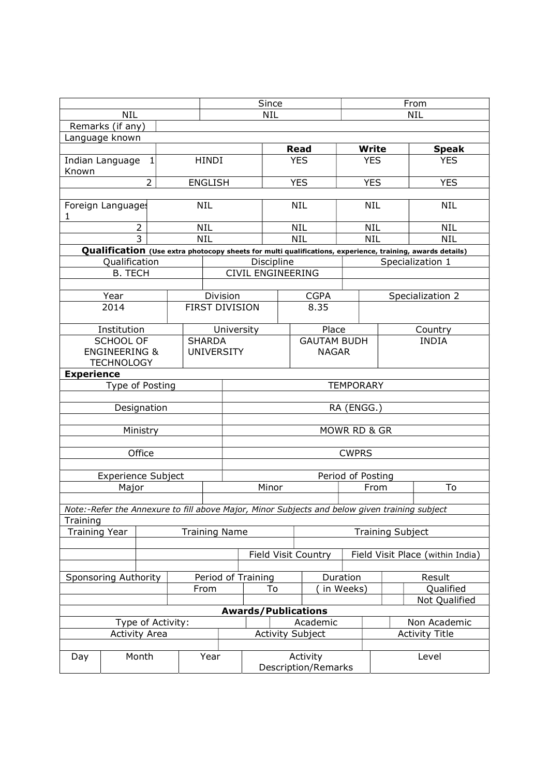|                                                                                    |                                                          |                |  |                       | Since      |                                                                                               |                                 |                                    |                            | From                             |              |                                                                                                           |  |  |
|------------------------------------------------------------------------------------|----------------------------------------------------------|----------------|--|-----------------------|------------|-----------------------------------------------------------------------------------------------|---------------------------------|------------------------------------|----------------------------|----------------------------------|--------------|-----------------------------------------------------------------------------------------------------------|--|--|
| <b>NIL</b><br>Remarks (if any)                                                     |                                                          |                |  |                       | <b>NIL</b> |                                                                                               |                                 |                                    |                            |                                  | <b>NIL</b>   |                                                                                                           |  |  |
|                                                                                    |                                                          |                |  |                       |            |                                                                                               |                                 |                                    |                            |                                  |              |                                                                                                           |  |  |
|                                                                                    | Language known                                           |                |  |                       |            |                                                                                               |                                 | <b>Read</b>                        |                            |                                  | <b>Write</b> | <b>Speak</b>                                                                                              |  |  |
|                                                                                    | <b>HINDI</b><br>Indian Language<br>$\mathbf{1}$<br>Known |                |  |                       |            |                                                                                               |                                 | <b>YES</b>                         |                            | <b>YES</b>                       |              | <b>YES</b>                                                                                                |  |  |
|                                                                                    |                                                          | $\overline{2}$ |  | <b>ENGLISH</b>        |            |                                                                                               |                                 | <b>YES</b>                         |                            | <b>YES</b>                       |              | <b>YES</b>                                                                                                |  |  |
|                                                                                    |                                                          |                |  |                       |            |                                                                                               |                                 |                                    |                            |                                  |              |                                                                                                           |  |  |
| Foreign Languages<br>1                                                             |                                                          |                |  | <b>NIL</b>            |            |                                                                                               |                                 | <b>NIL</b>                         |                            |                                  | <b>NIL</b>   | <b>NIL</b>                                                                                                |  |  |
|                                                                                    |                                                          | $\overline{2}$ |  | <b>NIL</b>            |            |                                                                                               |                                 | <b>NIL</b>                         |                            |                                  | <b>NIL</b>   | <b>NIL</b>                                                                                                |  |  |
|                                                                                    |                                                          | 3              |  | <b>NIL</b>            |            |                                                                                               |                                 | <b>NIL</b>                         |                            |                                  | <b>NIL</b>   | <b>NIL</b>                                                                                                |  |  |
|                                                                                    |                                                          |                |  |                       |            |                                                                                               |                                 |                                    |                            |                                  |              | Qualification (Use extra photocopy sheets for multi qualifications, experience, training, awards details) |  |  |
|                                                                                    | Qualification                                            |                |  |                       |            |                                                                                               | Discipline<br>CIVIL ENGINEERING |                                    |                            |                                  |              | Specialization 1                                                                                          |  |  |
|                                                                                    | <b>B. TECH</b>                                           |                |  |                       |            |                                                                                               |                                 |                                    |                            |                                  |              |                                                                                                           |  |  |
|                                                                                    | Year                                                     |                |  |                       |            | Division                                                                                      |                                 |                                    | <b>CGPA</b>                |                                  |              | Specialization 2                                                                                          |  |  |
|                                                                                    | 2014                                                     |                |  | <b>FIRST DIVISION</b> |            |                                                                                               |                                 |                                    | 8.35                       |                                  |              |                                                                                                           |  |  |
|                                                                                    | Institution                                              |                |  |                       |            | University                                                                                    |                                 |                                    | Place                      |                                  | Country      |                                                                                                           |  |  |
| <b>SCHOOL OF</b><br><b>SHARDA</b><br><b>ENGINEERING &amp;</b><br><b>TECHNOLOGY</b> |                                                          |                |  | <b>UNIVERSITY</b>     |            |                                                                                               |                                 | <b>GAUTAM BUDH</b><br><b>NAGAR</b> |                            | <b>INDIA</b>                     |              |                                                                                                           |  |  |
| <b>Experience</b>                                                                  |                                                          |                |  |                       |            |                                                                                               |                                 |                                    |                            |                                  |              |                                                                                                           |  |  |
|                                                                                    | Type of Posting                                          |                |  |                       |            | <b>TEMPORARY</b>                                                                              |                                 |                                    |                            |                                  |              |                                                                                                           |  |  |
|                                                                                    |                                                          |                |  |                       |            |                                                                                               |                                 |                                    |                            |                                  |              |                                                                                                           |  |  |
|                                                                                    | Designation                                              |                |  |                       |            | RA (ENGG.)                                                                                    |                                 |                                    |                            |                                  |              |                                                                                                           |  |  |
|                                                                                    |                                                          |                |  |                       |            |                                                                                               |                                 |                                    |                            |                                  |              |                                                                                                           |  |  |
|                                                                                    |                                                          | Ministry       |  |                       |            | MOWR RD & GR                                                                                  |                                 |                                    |                            |                                  |              |                                                                                                           |  |  |
|                                                                                    |                                                          | Office         |  |                       |            | <b>CWPRS</b>                                                                                  |                                 |                                    |                            |                                  |              |                                                                                                           |  |  |
|                                                                                    |                                                          |                |  |                       |            |                                                                                               |                                 |                                    |                            |                                  |              |                                                                                                           |  |  |
|                                                                                    | <b>Experience Subject</b>                                |                |  |                       |            | Period of Posting                                                                             |                                 |                                    |                            |                                  |              |                                                                                                           |  |  |
|                                                                                    | Major                                                    |                |  |                       |            | Minor                                                                                         |                                 |                                    |                            |                                  | From         | To                                                                                                        |  |  |
|                                                                                    |                                                          |                |  |                       |            | Note:-Refer the Annexure to fill above Major, Minor Subjects and below given training subject |                                 |                                    |                            |                                  |              |                                                                                                           |  |  |
| Training                                                                           |                                                          |                |  |                       |            |                                                                                               |                                 |                                    |                            |                                  |              |                                                                                                           |  |  |
| <b>Training Year</b>                                                               |                                                          |                |  |                       |            | <b>Training Name</b><br><b>Training Subject</b>                                               |                                 |                                    |                            |                                  |              |                                                                                                           |  |  |
|                                                                                    |                                                          |                |  |                       |            |                                                                                               |                                 |                                    |                            |                                  |              |                                                                                                           |  |  |
|                                                                                    |                                                          |                |  |                       |            |                                                                                               |                                 |                                    | <b>Field Visit Country</b> | Field Visit Place (within India) |              |                                                                                                           |  |  |
| <b>Sponsoring Authority</b>                                                        |                                                          |                |  |                       |            |                                                                                               | Period of Training              |                                    |                            | Duration                         |              | Result                                                                                                    |  |  |
| From                                                                               |                                                          |                |  |                       |            | To                                                                                            |                                 | in Weeks)                          |                            |                                  | Qualified    |                                                                                                           |  |  |
|                                                                                    |                                                          |                |  |                       |            |                                                                                               |                                 |                                    |                            |                                  |              | Not Qualified                                                                                             |  |  |
|                                                                                    |                                                          |                |  |                       |            |                                                                                               | <b>Awards/Publications</b>      |                                    |                            |                                  |              |                                                                                                           |  |  |
| Type of Activity:                                                                  |                                                          |                |  |                       |            | Academic                                                                                      |                                 |                                    |                            |                                  | Non Academic |                                                                                                           |  |  |
|                                                                                    | <b>Activity Area</b>                                     |                |  |                       |            |                                                                                               | <b>Activity Subject</b>         |                                    |                            |                                  |              | <b>Activity Title</b>                                                                                     |  |  |
| Month<br>Day                                                                       |                                                          |                |  |                       | Year       |                                                                                               |                                 | Activity<br>Description/Remarks    |                            |                                  |              | Level                                                                                                     |  |  |